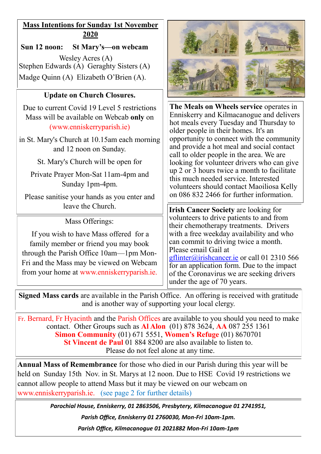## **Mass Intentions for Sunday 1st November 2020**

**Sun 12 noon: St Mary's—on webcam** Wesley Acres (A) Stephen Edwards (A) Geraghty Sisters (A) Madge Quinn (A) Elizabeth O'Brien (A).

### **Update on Church Closures.**

Due to current Covid 19 Level 5 restrictions Mass will be available on Webcab **only** on (www.enniskerryparish.ie)

in St. Mary's Church at 10.15am each morning and 12 noon on Sunday.

St. Mary's Church will be open for

Private Prayer Mon-Sat 11am-4pm and Sunday 1pm-4pm.

Please sanitise your hands as you enter and

Mass Offerings:

If you wish to have Mass offered for a family member or friend you may book through the Parish Office 10am—1pm Mon-Fri and the Mass may be viewed on Webcam from your home at www.enniskerryparish.ie.



**The Meals on Wheels service** operates in Enniskerry and Kilmacanogue and delivers hot meals every Tuesday and Thursday to older people in their homes. It's an opportunity to connect with the community and provide a hot meal and social contact call to older people in the area. We are looking for volunteer drivers who can give up 2 or 3 hours twice a month to facilitate this much needed service. Interested volunteers should contact Maoiliosa Kelly on 086 832 2466 for further information.

leave the Church. **IFILITE:** ITE: **IFILITE:** ITE: **IFILITE:** ITE: **IFILITE:** ITE: **IFILITE:** ITE: **IFILITE:** ITE: **IFILITE:** ITE: **IFILITE:** ITE: **IFILITE:** ITE: **IFILITE:** ITE: **IFILITE:** ITE: **IFILITE:** ITE: **IFILITE:** I volunteers to drive patients to and from their chemotherapy treatments. Drivers with a free weekday availability and who can commit to driving twice a month. Please email Gail at [gflinter@irishcancer.ie](mailto:gflinter@irishcancer.ie) or call 01 2310 566 for an application form. Due to the impact of the Coronavirus we are seeking drivers under the age of 70 years.

**Signed Mass cards** are available in the Parish Office. An offering is received with gratitude and is another way of supporting your local clergy.

Fr. Bernard, Fr Hyacinth and the Parish Offices are available to you should you need to make contact. Other Groups such as **Al Alon** (01) 878 3624, **AA** 087 255 1361 **Simon Community** (01) 671 5551, **Women's Refuge** (01) 8670701 **St Vincent de Paul** 01 884 8200 are also available to listen to. Please do not feel alone at any time.

**Annual Mass of Remembrance** for those who died in our Parish during this year will be held on Sunday 15th Nov. in St. Marys at 12 noon. Due to HSE Covid 19 restrictions we cannot allow people to attend Mass but it may be viewed on our webcam on www.enniskerryparish.ie. (see page 2 for further details)

> *Parochial House, Enniskerry, 01 2863506, Presbytery, Kilmacanogue 01 2741951, Parish Office, Enniskerry 01 2760030, Mon-Fri 10am-1pm. Parish Office, Kilmacanogue 01 2021882 Mon-Fri 10am-1pm*